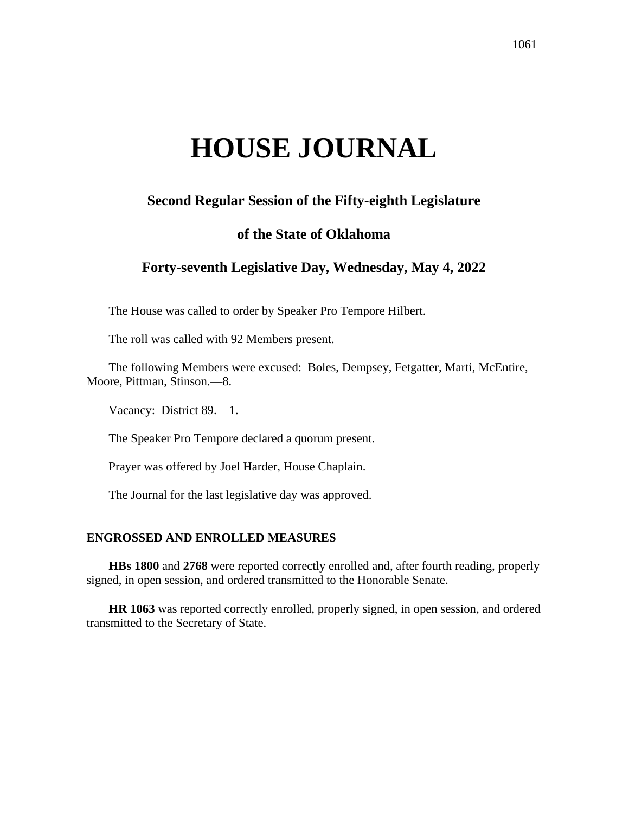# **HOUSE JOURNAL**

# **Second Regular Session of the Fifty-eighth Legislature**

# **of the State of Oklahoma**

# **Forty-seventh Legislative Day, Wednesday, May 4, 2022**

The House was called to order by Speaker Pro Tempore Hilbert.

The roll was called with 92 Members present.

The following Members were excused: Boles, Dempsey, Fetgatter, Marti, McEntire, Moore, Pittman, Stinson.—8.

Vacancy: District 89.—1.

The Speaker Pro Tempore declared a quorum present.

Prayer was offered by Joel Harder, House Chaplain.

The Journal for the last legislative day was approved.

#### **ENGROSSED AND ENROLLED MEASURES**

**HBs 1800** and **2768** were reported correctly enrolled and, after fourth reading, properly signed, in open session, and ordered transmitted to the Honorable Senate.

**HR 1063** was reported correctly enrolled, properly signed, in open session, and ordered transmitted to the Secretary of State.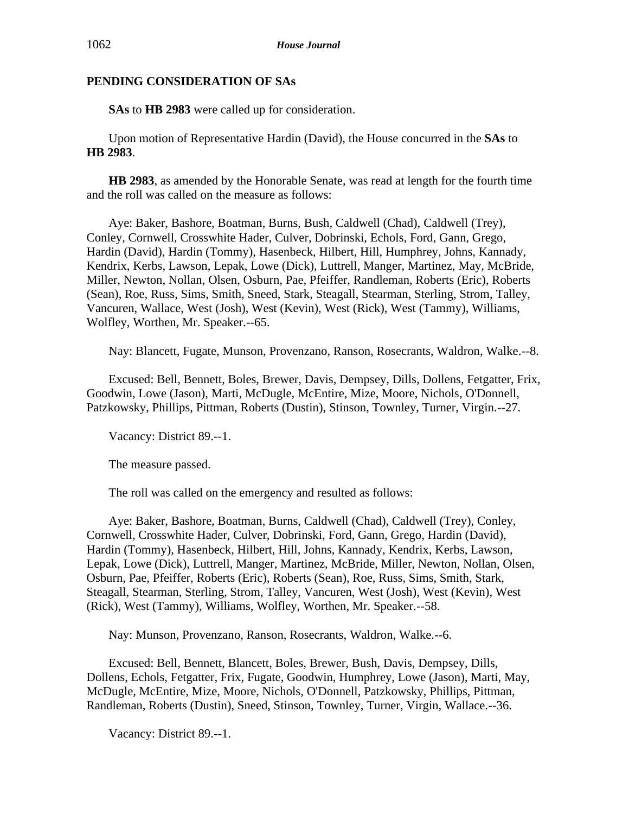**SAs** to **HB 2983** were called up for consideration.

Upon motion of Representative Hardin (David), the House concurred in the **SAs** to **HB 2983**.

**HB 2983**, as amended by the Honorable Senate, was read at length for the fourth time and the roll was called on the measure as follows:

Aye: Baker, Bashore, Boatman, Burns, Bush, Caldwell (Chad), Caldwell (Trey), Conley, Cornwell, Crosswhite Hader, Culver, Dobrinski, Echols, Ford, Gann, Grego, Hardin (David), Hardin (Tommy), Hasenbeck, Hilbert, Hill, Humphrey, Johns, Kannady, Kendrix, Kerbs, Lawson, Lepak, Lowe (Dick), Luttrell, Manger, Martinez, May, McBride, Miller, Newton, Nollan, Olsen, Osburn, Pae, Pfeiffer, Randleman, Roberts (Eric), Roberts (Sean), Roe, Russ, Sims, Smith, Sneed, Stark, Steagall, Stearman, Sterling, Strom, Talley, Vancuren, Wallace, West (Josh), West (Kevin), West (Rick), West (Tammy), Williams, Wolfley, Worthen, Mr. Speaker.--65.

Nay: Blancett, Fugate, Munson, Provenzano, Ranson, Rosecrants, Waldron, Walke.--8.

Excused: Bell, Bennett, Boles, Brewer, Davis, Dempsey, Dills, Dollens, Fetgatter, Frix, Goodwin, Lowe (Jason), Marti, McDugle, McEntire, Mize, Moore, Nichols, O'Donnell, Patzkowsky, Phillips, Pittman, Roberts (Dustin), Stinson, Townley, Turner, Virgin.--27.

Vacancy: District 89.--1.

The measure passed.

The roll was called on the emergency and resulted as follows:

Aye: Baker, Bashore, Boatman, Burns, Caldwell (Chad), Caldwell (Trey), Conley, Cornwell, Crosswhite Hader, Culver, Dobrinski, Ford, Gann, Grego, Hardin (David), Hardin (Tommy), Hasenbeck, Hilbert, Hill, Johns, Kannady, Kendrix, Kerbs, Lawson, Lepak, Lowe (Dick), Luttrell, Manger, Martinez, McBride, Miller, Newton, Nollan, Olsen, Osburn, Pae, Pfeiffer, Roberts (Eric), Roberts (Sean), Roe, Russ, Sims, Smith, Stark, Steagall, Stearman, Sterling, Strom, Talley, Vancuren, West (Josh), West (Kevin), West (Rick), West (Tammy), Williams, Wolfley, Worthen, Mr. Speaker.--58.

Nay: Munson, Provenzano, Ranson, Rosecrants, Waldron, Walke.--6.

Excused: Bell, Bennett, Blancett, Boles, Brewer, Bush, Davis, Dempsey, Dills, Dollens, Echols, Fetgatter, Frix, Fugate, Goodwin, Humphrey, Lowe (Jason), Marti, May, McDugle, McEntire, Mize, Moore, Nichols, O'Donnell, Patzkowsky, Phillips, Pittman, Randleman, Roberts (Dustin), Sneed, Stinson, Townley, Turner, Virgin, Wallace.--36.

Vacancy: District 89.--1.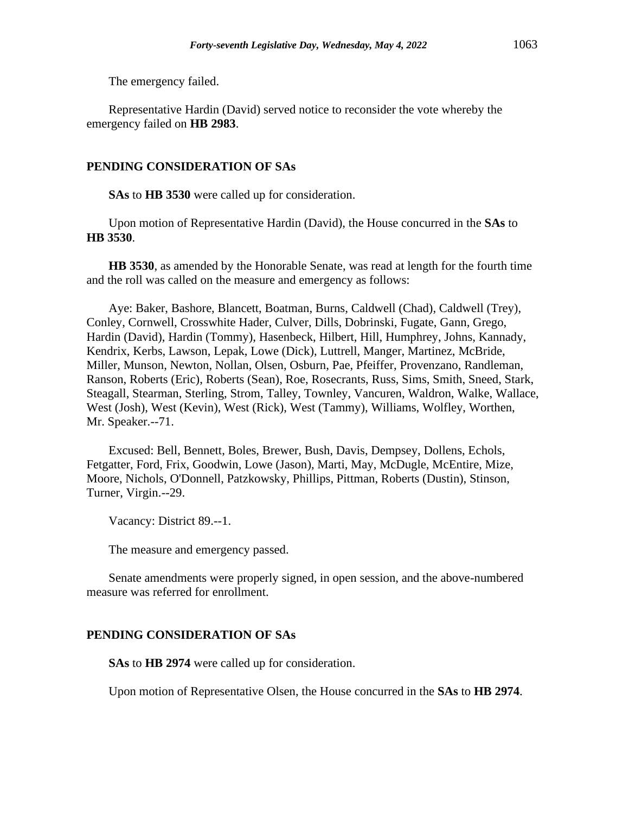The emergency failed.

Representative Hardin (David) served notice to reconsider the vote whereby the emergency failed on **HB 2983**.

#### **PENDING CONSIDERATION OF SAs**

**SAs** to **HB 3530** were called up for consideration.

Upon motion of Representative Hardin (David), the House concurred in the **SAs** to **HB 3530**.

**HB 3530**, as amended by the Honorable Senate, was read at length for the fourth time and the roll was called on the measure and emergency as follows:

Aye: Baker, Bashore, Blancett, Boatman, Burns, Caldwell (Chad), Caldwell (Trey), Conley, Cornwell, Crosswhite Hader, Culver, Dills, Dobrinski, Fugate, Gann, Grego, Hardin (David), Hardin (Tommy), Hasenbeck, Hilbert, Hill, Humphrey, Johns, Kannady, Kendrix, Kerbs, Lawson, Lepak, Lowe (Dick), Luttrell, Manger, Martinez, McBride, Miller, Munson, Newton, Nollan, Olsen, Osburn, Pae, Pfeiffer, Provenzano, Randleman, Ranson, Roberts (Eric), Roberts (Sean), Roe, Rosecrants, Russ, Sims, Smith, Sneed, Stark, Steagall, Stearman, Sterling, Strom, Talley, Townley, Vancuren, Waldron, Walke, Wallace, West (Josh), West (Kevin), West (Rick), West (Tammy), Williams, Wolfley, Worthen, Mr. Speaker.--71.

Excused: Bell, Bennett, Boles, Brewer, Bush, Davis, Dempsey, Dollens, Echols, Fetgatter, Ford, Frix, Goodwin, Lowe (Jason), Marti, May, McDugle, McEntire, Mize, Moore, Nichols, O'Donnell, Patzkowsky, Phillips, Pittman, Roberts (Dustin), Stinson, Turner, Virgin.--29.

Vacancy: District 89.--1.

The measure and emergency passed.

Senate amendments were properly signed, in open session, and the above-numbered measure was referred for enrollment.

#### **PENDING CONSIDERATION OF SAs**

**SAs** to **HB 2974** were called up for consideration.

Upon motion of Representative Olsen, the House concurred in the **SAs** to **HB 2974**.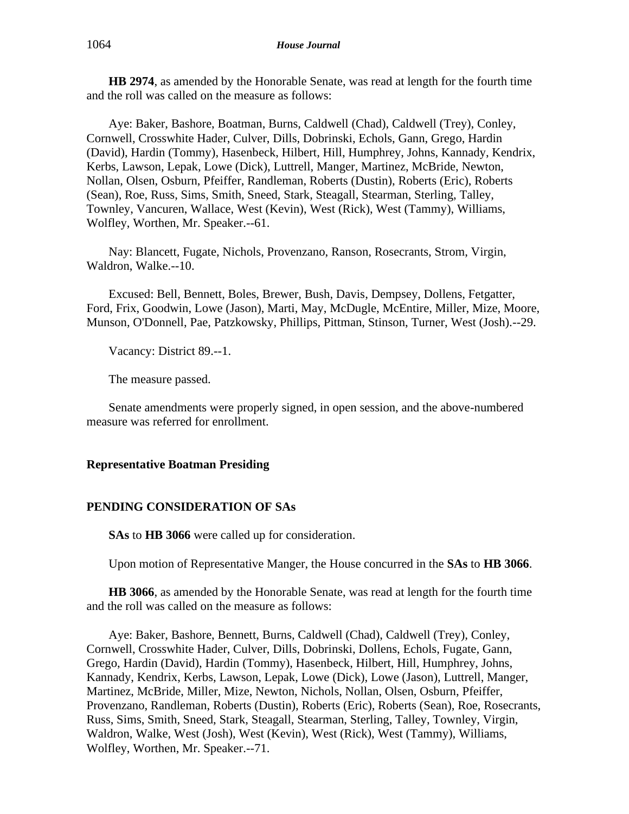**HB 2974**, as amended by the Honorable Senate, was read at length for the fourth time and the roll was called on the measure as follows:

Aye: Baker, Bashore, Boatman, Burns, Caldwell (Chad), Caldwell (Trey), Conley, Cornwell, Crosswhite Hader, Culver, Dills, Dobrinski, Echols, Gann, Grego, Hardin (David), Hardin (Tommy), Hasenbeck, Hilbert, Hill, Humphrey, Johns, Kannady, Kendrix, Kerbs, Lawson, Lepak, Lowe (Dick), Luttrell, Manger, Martinez, McBride, Newton, Nollan, Olsen, Osburn, Pfeiffer, Randleman, Roberts (Dustin), Roberts (Eric), Roberts (Sean), Roe, Russ, Sims, Smith, Sneed, Stark, Steagall, Stearman, Sterling, Talley, Townley, Vancuren, Wallace, West (Kevin), West (Rick), West (Tammy), Williams, Wolfley, Worthen, Mr. Speaker.--61.

Nay: Blancett, Fugate, Nichols, Provenzano, Ranson, Rosecrants, Strom, Virgin, Waldron, Walke.--10.

Excused: Bell, Bennett, Boles, Brewer, Bush, Davis, Dempsey, Dollens, Fetgatter, Ford, Frix, Goodwin, Lowe (Jason), Marti, May, McDugle, McEntire, Miller, Mize, Moore, Munson, O'Donnell, Pae, Patzkowsky, Phillips, Pittman, Stinson, Turner, West (Josh).--29.

Vacancy: District 89.--1.

The measure passed.

Senate amendments were properly signed, in open session, and the above-numbered measure was referred for enrollment.

## **Representative Boatman Presiding**

## **PENDING CONSIDERATION OF SAs**

**SAs** to **HB 3066** were called up for consideration.

Upon motion of Representative Manger, the House concurred in the **SAs** to **HB 3066**.

**HB 3066**, as amended by the Honorable Senate, was read at length for the fourth time and the roll was called on the measure as follows:

Aye: Baker, Bashore, Bennett, Burns, Caldwell (Chad), Caldwell (Trey), Conley, Cornwell, Crosswhite Hader, Culver, Dills, Dobrinski, Dollens, Echols, Fugate, Gann, Grego, Hardin (David), Hardin (Tommy), Hasenbeck, Hilbert, Hill, Humphrey, Johns, Kannady, Kendrix, Kerbs, Lawson, Lepak, Lowe (Dick), Lowe (Jason), Luttrell, Manger, Martinez, McBride, Miller, Mize, Newton, Nichols, Nollan, Olsen, Osburn, Pfeiffer, Provenzano, Randleman, Roberts (Dustin), Roberts (Eric), Roberts (Sean), Roe, Rosecrants, Russ, Sims, Smith, Sneed, Stark, Steagall, Stearman, Sterling, Talley, Townley, Virgin, Waldron, Walke, West (Josh), West (Kevin), West (Rick), West (Tammy), Williams, Wolfley, Worthen, Mr. Speaker.--71.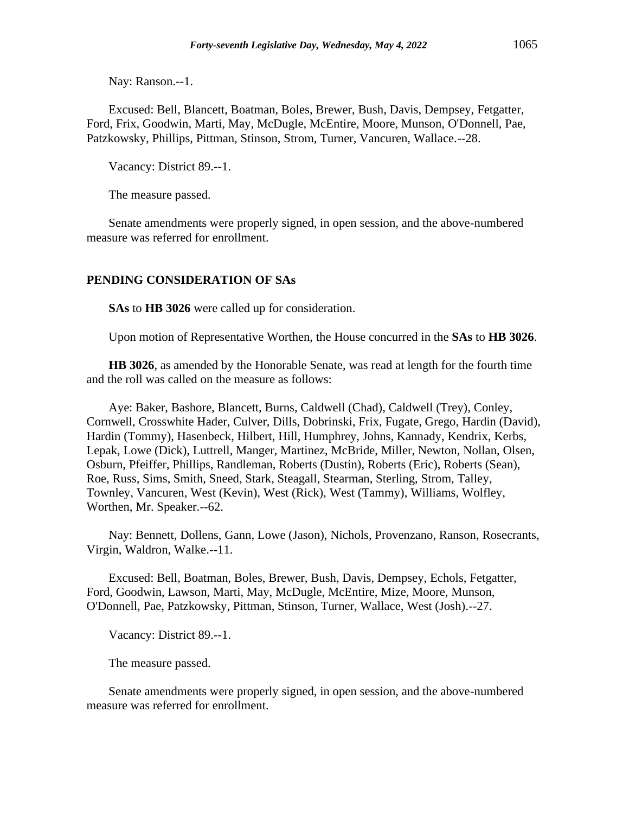Nay: Ranson.--1.

Excused: Bell, Blancett, Boatman, Boles, Brewer, Bush, Davis, Dempsey, Fetgatter, Ford, Frix, Goodwin, Marti, May, McDugle, McEntire, Moore, Munson, O'Donnell, Pae, Patzkowsky, Phillips, Pittman, Stinson, Strom, Turner, Vancuren, Wallace.--28.

Vacancy: District 89.--1.

The measure passed.

Senate amendments were properly signed, in open session, and the above-numbered measure was referred for enrollment.

#### **PENDING CONSIDERATION OF SAs**

**SAs** to **HB 3026** were called up for consideration.

Upon motion of Representative Worthen, the House concurred in the **SAs** to **HB 3026**.

**HB 3026**, as amended by the Honorable Senate, was read at length for the fourth time and the roll was called on the measure as follows:

Aye: Baker, Bashore, Blancett, Burns, Caldwell (Chad), Caldwell (Trey), Conley, Cornwell, Crosswhite Hader, Culver, Dills, Dobrinski, Frix, Fugate, Grego, Hardin (David), Hardin (Tommy), Hasenbeck, Hilbert, Hill, Humphrey, Johns, Kannady, Kendrix, Kerbs, Lepak, Lowe (Dick), Luttrell, Manger, Martinez, McBride, Miller, Newton, Nollan, Olsen, Osburn, Pfeiffer, Phillips, Randleman, Roberts (Dustin), Roberts (Eric), Roberts (Sean), Roe, Russ, Sims, Smith, Sneed, Stark, Steagall, Stearman, Sterling, Strom, Talley, Townley, Vancuren, West (Kevin), West (Rick), West (Tammy), Williams, Wolfley, Worthen, Mr. Speaker.--62.

Nay: Bennett, Dollens, Gann, Lowe (Jason), Nichols, Provenzano, Ranson, Rosecrants, Virgin, Waldron, Walke.--11.

Excused: Bell, Boatman, Boles, Brewer, Bush, Davis, Dempsey, Echols, Fetgatter, Ford, Goodwin, Lawson, Marti, May, McDugle, McEntire, Mize, Moore, Munson, O'Donnell, Pae, Patzkowsky, Pittman, Stinson, Turner, Wallace, West (Josh).--27.

Vacancy: District 89.--1.

The measure passed.

Senate amendments were properly signed, in open session, and the above-numbered measure was referred for enrollment.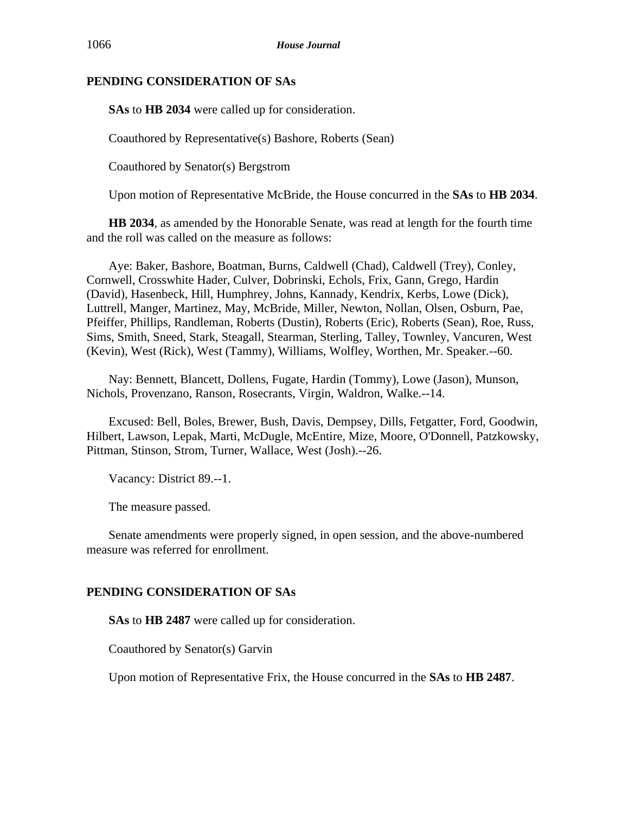**SAs** to **HB 2034** were called up for consideration.

Coauthored by Representative(s) Bashore, Roberts (Sean)

Coauthored by Senator(s) Bergstrom

Upon motion of Representative McBride, the House concurred in the **SAs** to **HB 2034**.

**HB 2034**, as amended by the Honorable Senate, was read at length for the fourth time and the roll was called on the measure as follows:

Aye: Baker, Bashore, Boatman, Burns, Caldwell (Chad), Caldwell (Trey), Conley, Cornwell, Crosswhite Hader, Culver, Dobrinski, Echols, Frix, Gann, Grego, Hardin (David), Hasenbeck, Hill, Humphrey, Johns, Kannady, Kendrix, Kerbs, Lowe (Dick), Luttrell, Manger, Martinez, May, McBride, Miller, Newton, Nollan, Olsen, Osburn, Pae, Pfeiffer, Phillips, Randleman, Roberts (Dustin), Roberts (Eric), Roberts (Sean), Roe, Russ, Sims, Smith, Sneed, Stark, Steagall, Stearman, Sterling, Talley, Townley, Vancuren, West (Kevin), West (Rick), West (Tammy), Williams, Wolfley, Worthen, Mr. Speaker.--60.

Nay: Bennett, Blancett, Dollens, Fugate, Hardin (Tommy), Lowe (Jason), Munson, Nichols, Provenzano, Ranson, Rosecrants, Virgin, Waldron, Walke.--14.

Excused: Bell, Boles, Brewer, Bush, Davis, Dempsey, Dills, Fetgatter, Ford, Goodwin, Hilbert, Lawson, Lepak, Marti, McDugle, McEntire, Mize, Moore, O'Donnell, Patzkowsky, Pittman, Stinson, Strom, Turner, Wallace, West (Josh).--26.

Vacancy: District 89.--1.

The measure passed.

Senate amendments were properly signed, in open session, and the above-numbered measure was referred for enrollment.

# **PENDING CONSIDERATION OF SAs**

**SAs** to **HB 2487** were called up for consideration.

Coauthored by Senator(s) Garvin

Upon motion of Representative Frix, the House concurred in the **SAs** to **HB 2487**.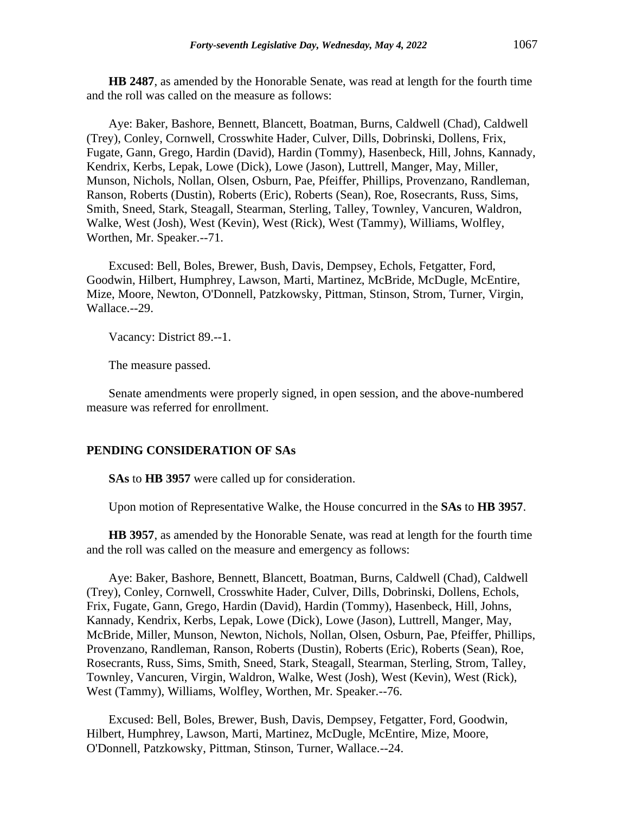**HB 2487**, as amended by the Honorable Senate, was read at length for the fourth time and the roll was called on the measure as follows:

Aye: Baker, Bashore, Bennett, Blancett, Boatman, Burns, Caldwell (Chad), Caldwell (Trey), Conley, Cornwell, Crosswhite Hader, Culver, Dills, Dobrinski, Dollens, Frix, Fugate, Gann, Grego, Hardin (David), Hardin (Tommy), Hasenbeck, Hill, Johns, Kannady, Kendrix, Kerbs, Lepak, Lowe (Dick), Lowe (Jason), Luttrell, Manger, May, Miller, Munson, Nichols, Nollan, Olsen, Osburn, Pae, Pfeiffer, Phillips, Provenzano, Randleman, Ranson, Roberts (Dustin), Roberts (Eric), Roberts (Sean), Roe, Rosecrants, Russ, Sims, Smith, Sneed, Stark, Steagall, Stearman, Sterling, Talley, Townley, Vancuren, Waldron, Walke, West (Josh), West (Kevin), West (Rick), West (Tammy), Williams, Wolfley, Worthen, Mr. Speaker.--71.

Excused: Bell, Boles, Brewer, Bush, Davis, Dempsey, Echols, Fetgatter, Ford, Goodwin, Hilbert, Humphrey, Lawson, Marti, Martinez, McBride, McDugle, McEntire, Mize, Moore, Newton, O'Donnell, Patzkowsky, Pittman, Stinson, Strom, Turner, Virgin, Wallace.--29.

Vacancy: District 89.--1.

The measure passed.

Senate amendments were properly signed, in open session, and the above-numbered measure was referred for enrollment.

#### **PENDING CONSIDERATION OF SAs**

**SAs** to **HB 3957** were called up for consideration.

Upon motion of Representative Walke, the House concurred in the **SAs** to **HB 3957**.

**HB 3957**, as amended by the Honorable Senate, was read at length for the fourth time and the roll was called on the measure and emergency as follows:

Aye: Baker, Bashore, Bennett, Blancett, Boatman, Burns, Caldwell (Chad), Caldwell (Trey), Conley, Cornwell, Crosswhite Hader, Culver, Dills, Dobrinski, Dollens, Echols, Frix, Fugate, Gann, Grego, Hardin (David), Hardin (Tommy), Hasenbeck, Hill, Johns, Kannady, Kendrix, Kerbs, Lepak, Lowe (Dick), Lowe (Jason), Luttrell, Manger, May, McBride, Miller, Munson, Newton, Nichols, Nollan, Olsen, Osburn, Pae, Pfeiffer, Phillips, Provenzano, Randleman, Ranson, Roberts (Dustin), Roberts (Eric), Roberts (Sean), Roe, Rosecrants, Russ, Sims, Smith, Sneed, Stark, Steagall, Stearman, Sterling, Strom, Talley, Townley, Vancuren, Virgin, Waldron, Walke, West (Josh), West (Kevin), West (Rick), West (Tammy), Williams, Wolfley, Worthen, Mr. Speaker.--76.

Excused: Bell, Boles, Brewer, Bush, Davis, Dempsey, Fetgatter, Ford, Goodwin, Hilbert, Humphrey, Lawson, Marti, Martinez, McDugle, McEntire, Mize, Moore, O'Donnell, Patzkowsky, Pittman, Stinson, Turner, Wallace.--24.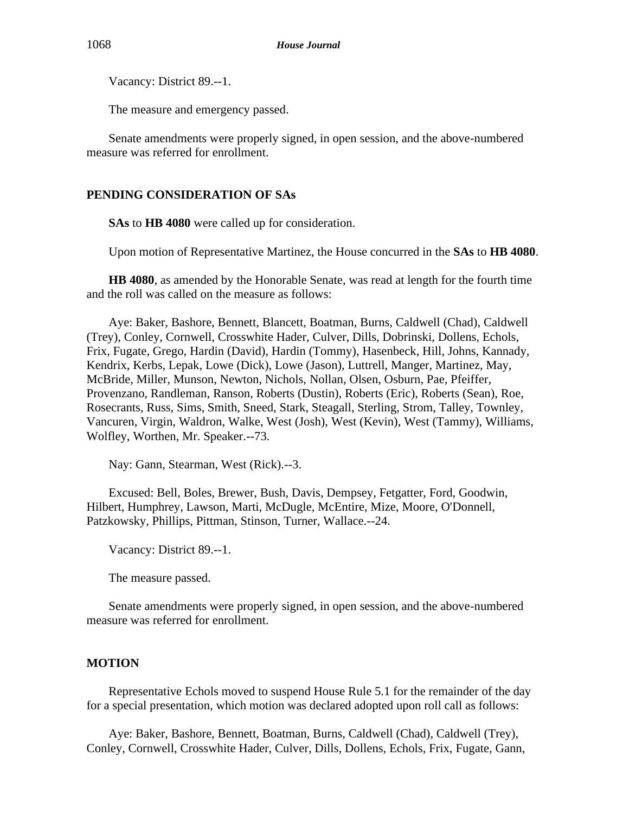Vacancy: District 89.--1.

The measure and emergency passed.

Senate amendments were properly signed, in open session, and the above-numbered measure was referred for enrollment.

## **PENDING CONSIDERATION OF SAs**

**SAs** to **HB 4080** were called up for consideration.

Upon motion of Representative Martinez, the House concurred in the **SAs** to **HB 4080**.

**HB 4080**, as amended by the Honorable Senate, was read at length for the fourth time and the roll was called on the measure as follows:

Aye: Baker, Bashore, Bennett, Blancett, Boatman, Burns, Caldwell (Chad), Caldwell (Trey), Conley, Cornwell, Crosswhite Hader, Culver, Dills, Dobrinski, Dollens, Echols, Frix, Fugate, Grego, Hardin (David), Hardin (Tommy), Hasenbeck, Hill, Johns, Kannady, Kendrix, Kerbs, Lepak, Lowe (Dick), Lowe (Jason), Luttrell, Manger, Martinez, May, McBride, Miller, Munson, Newton, Nichols, Nollan, Olsen, Osburn, Pae, Pfeiffer, Provenzano, Randleman, Ranson, Roberts (Dustin), Roberts (Eric), Roberts (Sean), Roe, Rosecrants, Russ, Sims, Smith, Sneed, Stark, Steagall, Sterling, Strom, Talley, Townley, Vancuren, Virgin, Waldron, Walke, West (Josh), West (Kevin), West (Tammy), Williams, Wolfley, Worthen, Mr. Speaker.--73.

Nay: Gann, Stearman, West (Rick).--3.

Excused: Bell, Boles, Brewer, Bush, Davis, Dempsey, Fetgatter, Ford, Goodwin, Hilbert, Humphrey, Lawson, Marti, McDugle, McEntire, Mize, Moore, O'Donnell, Patzkowsky, Phillips, Pittman, Stinson, Turner, Wallace.--24.

Vacancy: District 89.--1.

The measure passed.

Senate amendments were properly signed, in open session, and the above-numbered measure was referred for enrollment.

#### **MOTION**

Representative Echols moved to suspend House Rule 5.1 for the remainder of the day for a special presentation, which motion was declared adopted upon roll call as follows:

Aye: Baker, Bashore, Bennett, Boatman, Burns, Caldwell (Chad), Caldwell (Trey), Conley, Cornwell, Crosswhite Hader, Culver, Dills, Dollens, Echols, Frix, Fugate, Gann,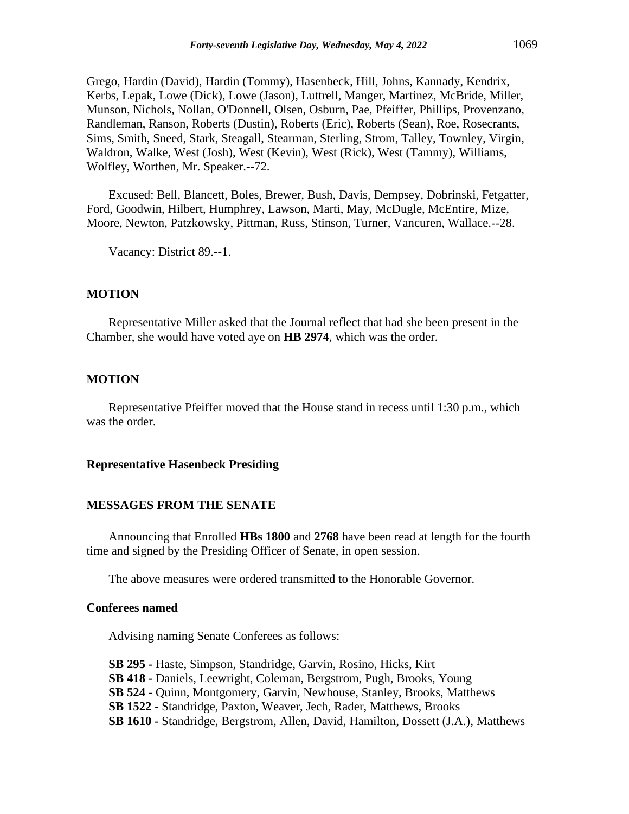Grego, Hardin (David), Hardin (Tommy), Hasenbeck, Hill, Johns, Kannady, Kendrix, Kerbs, Lepak, Lowe (Dick), Lowe (Jason), Luttrell, Manger, Martinez, McBride, Miller, Munson, Nichols, Nollan, O'Donnell, Olsen, Osburn, Pae, Pfeiffer, Phillips, Provenzano, Randleman, Ranson, Roberts (Dustin), Roberts (Eric), Roberts (Sean), Roe, Rosecrants, Sims, Smith, Sneed, Stark, Steagall, Stearman, Sterling, Strom, Talley, Townley, Virgin, Waldron, Walke, West (Josh), West (Kevin), West (Rick), West (Tammy), Williams, Wolfley, Worthen, Mr. Speaker.--72.

Excused: Bell, Blancett, Boles, Brewer, Bush, Davis, Dempsey, Dobrinski, Fetgatter, Ford, Goodwin, Hilbert, Humphrey, Lawson, Marti, May, McDugle, McEntire, Mize, Moore, Newton, Patzkowsky, Pittman, Russ, Stinson, Turner, Vancuren, Wallace.--28.

Vacancy: District 89.--1.

#### **MOTION**

Representative Miller asked that the Journal reflect that had she been present in the Chamber, she would have voted aye on **HB 2974**, which was the order.

#### **MOTION**

Representative Pfeiffer moved that the House stand in recess until 1:30 p.m., which was the order.

#### **Representative Hasenbeck Presiding**

#### **MESSAGES FROM THE SENATE**

Announcing that Enrolled **HBs 1800** and **2768** have been read at length for the fourth time and signed by the Presiding Officer of Senate, in open session.

The above measures were ordered transmitted to the Honorable Governor.

## **Conferees named**

Advising naming Senate Conferees as follows:

**SB 295 -** Haste, Simpson, Standridge, Garvin, Rosino, Hicks, Kirt **SB 418 -** Daniels, Leewright, Coleman, Bergstrom, Pugh, Brooks, Young **SB 524** - Quinn, Montgomery, Garvin, Newhouse, Stanley, Brooks, Matthews **SB 1522 -** Standridge, Paxton, Weaver, Jech, Rader, Matthews, Brooks **SB 1610 -** Standridge, Bergstrom, Allen, David, Hamilton, Dossett (J.A.), Matthews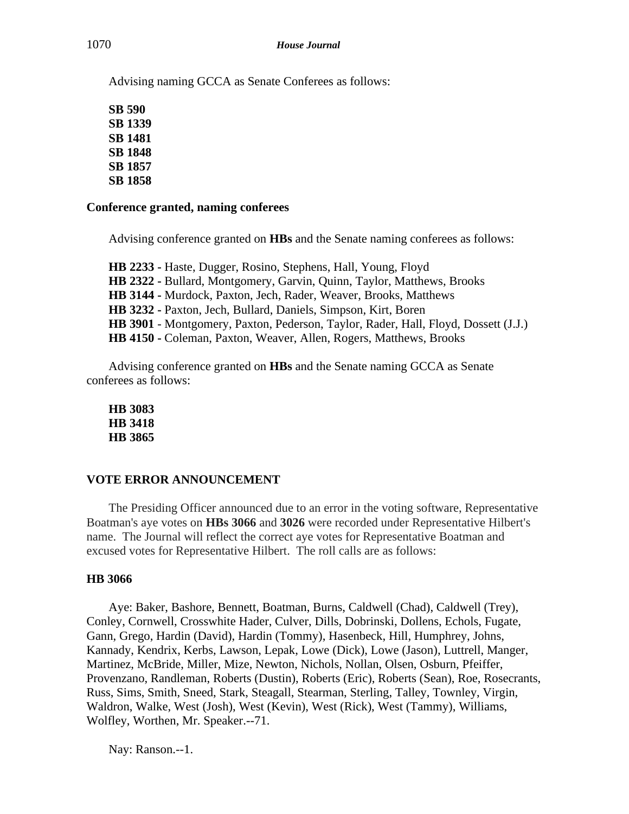Advising naming GCCA as Senate Conferees as follows:

**SB 590 SB 1339 SB 1481 SB 1848 SB 1857 SB 1858**

## **Conference granted, naming conferees**

Advising conference granted on **HBs** and the Senate naming conferees as follows:

**HB 2233 -** Haste, Dugger, Rosino, Stephens, Hall, Young, Floyd **HB 2322 -** Bullard, Montgomery, Garvin, Quinn, Taylor, Matthews, Brooks **HB 3144 -** Murdock, Paxton, Jech, Rader, Weaver, Brooks, Matthews **HB 3232 -** Paxton, Jech, Bullard, Daniels, Simpson, Kirt, Boren **HB 3901** - Montgomery, Paxton, Pederson, Taylor, Rader, Hall, Floyd, Dossett (J.J.) **HB 4150 -** Coleman, Paxton, Weaver, Allen, Rogers, Matthews, Brooks

Advising conference granted on **HBs** and the Senate naming GCCA as Senate conferees as follows:

**HB 3083 HB 3418 HB 3865**

## **VOTE ERROR ANNOUNCEMENT**

The Presiding Officer announced due to an error in the voting software, Representative Boatman's aye votes on **HBs 3066** and **3026** were recorded under Representative Hilbert's name. The Journal will reflect the correct aye votes for Representative Boatman and excused votes for Representative Hilbert. The roll calls are as follows:

## **HB 3066**

Aye: Baker, Bashore, Bennett, Boatman, Burns, Caldwell (Chad), Caldwell (Trey), Conley, Cornwell, Crosswhite Hader, Culver, Dills, Dobrinski, Dollens, Echols, Fugate, Gann, Grego, Hardin (David), Hardin (Tommy), Hasenbeck, Hill, Humphrey, Johns, Kannady, Kendrix, Kerbs, Lawson, Lepak, Lowe (Dick), Lowe (Jason), Luttrell, Manger, Martinez, McBride, Miller, Mize, Newton, Nichols, Nollan, Olsen, Osburn, Pfeiffer, Provenzano, Randleman, Roberts (Dustin), Roberts (Eric), Roberts (Sean), Roe, Rosecrants, Russ, Sims, Smith, Sneed, Stark, Steagall, Stearman, Sterling, Talley, Townley, Virgin, Waldron, Walke, West (Josh), West (Kevin), West (Rick), West (Tammy), Williams, Wolfley, Worthen, Mr. Speaker.--71.

Nay: Ranson.--1.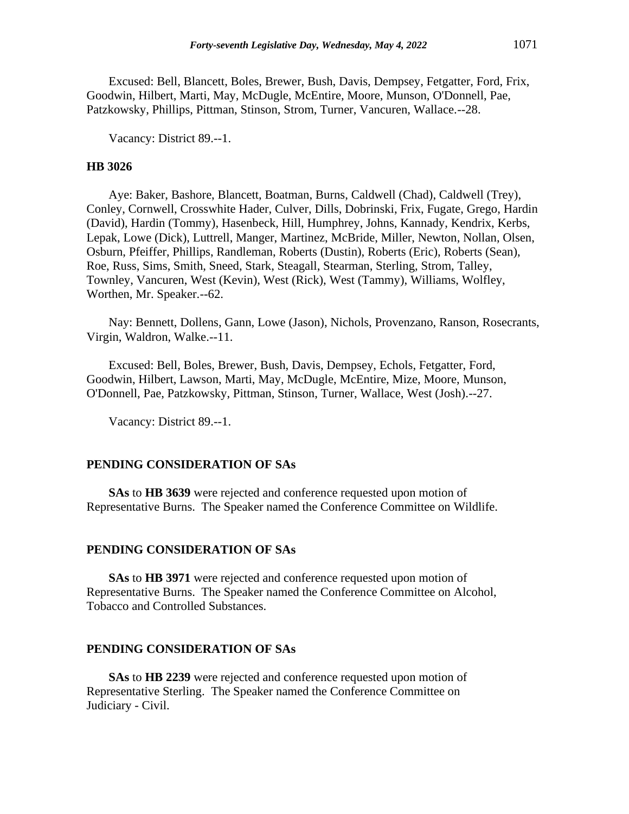Excused: Bell, Blancett, Boles, Brewer, Bush, Davis, Dempsey, Fetgatter, Ford, Frix, Goodwin, Hilbert, Marti, May, McDugle, McEntire, Moore, Munson, O'Donnell, Pae, Patzkowsky, Phillips, Pittman, Stinson, Strom, Turner, Vancuren, Wallace.--28.

Vacancy: District 89.--1.

## **HB 3026**

Aye: Baker, Bashore, Blancett, Boatman, Burns, Caldwell (Chad), Caldwell (Trey), Conley, Cornwell, Crosswhite Hader, Culver, Dills, Dobrinski, Frix, Fugate, Grego, Hardin (David), Hardin (Tommy), Hasenbeck, Hill, Humphrey, Johns, Kannady, Kendrix, Kerbs, Lepak, Lowe (Dick), Luttrell, Manger, Martinez, McBride, Miller, Newton, Nollan, Olsen, Osburn, Pfeiffer, Phillips, Randleman, Roberts (Dustin), Roberts (Eric), Roberts (Sean), Roe, Russ, Sims, Smith, Sneed, Stark, Steagall, Stearman, Sterling, Strom, Talley, Townley, Vancuren, West (Kevin), West (Rick), West (Tammy), Williams, Wolfley, Worthen, Mr. Speaker.--62.

Nay: Bennett, Dollens, Gann, Lowe (Jason), Nichols, Provenzano, Ranson, Rosecrants, Virgin, Waldron, Walke.--11.

Excused: Bell, Boles, Brewer, Bush, Davis, Dempsey, Echols, Fetgatter, Ford, Goodwin, Hilbert, Lawson, Marti, May, McDugle, McEntire, Mize, Moore, Munson, O'Donnell, Pae, Patzkowsky, Pittman, Stinson, Turner, Wallace, West (Josh).--27.

Vacancy: District 89.--1.

#### **PENDING CONSIDERATION OF SAs**

**SAs** to **HB 3639** were rejected and conference requested upon motion of Representative Burns. The Speaker named the Conference Committee on Wildlife.

#### **PENDING CONSIDERATION OF SAs**

**SAs** to **HB 3971** were rejected and conference requested upon motion of Representative Burns. The Speaker named the Conference Committee on Alcohol, Tobacco and Controlled Substances.

#### **PENDING CONSIDERATION OF SAs**

**SAs** to **HB 2239** were rejected and conference requested upon motion of Representative Sterling. The Speaker named the Conference Committee on Judiciary - Civil.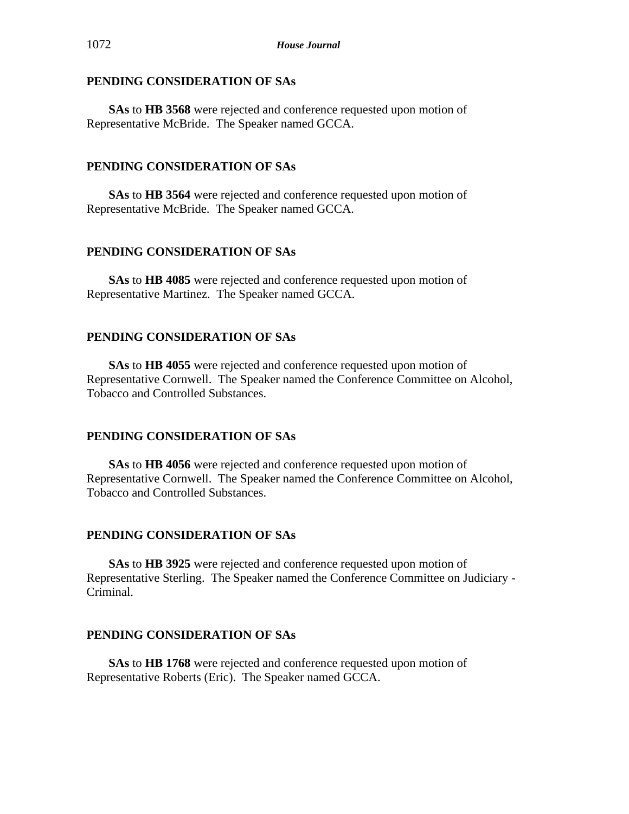**SAs** to **HB 3568** were rejected and conference requested upon motion of Representative McBride. The Speaker named GCCA.

## **PENDING CONSIDERATION OF SAs**

**SAs** to **HB 3564** were rejected and conference requested upon motion of Representative McBride. The Speaker named GCCA.

## **PENDING CONSIDERATION OF SAs**

**SAs** to **HB 4085** were rejected and conference requested upon motion of Representative Martinez. The Speaker named GCCA.

## **PENDING CONSIDERATION OF SAs**

**SAs** to **HB 4055** were rejected and conference requested upon motion of Representative Cornwell. The Speaker named the Conference Committee on Alcohol, Tobacco and Controlled Substances.

## **PENDING CONSIDERATION OF SAs**

**SAs** to **HB 4056** were rejected and conference requested upon motion of Representative Cornwell. The Speaker named the Conference Committee on Alcohol, Tobacco and Controlled Substances.

## **PENDING CONSIDERATION OF SAs**

**SAs** to **HB 3925** were rejected and conference requested upon motion of Representative Sterling. The Speaker named the Conference Committee on Judiciary - Criminal.

## **PENDING CONSIDERATION OF SAs**

**SAs** to **HB 1768** were rejected and conference requested upon motion of Representative Roberts (Eric). The Speaker named GCCA.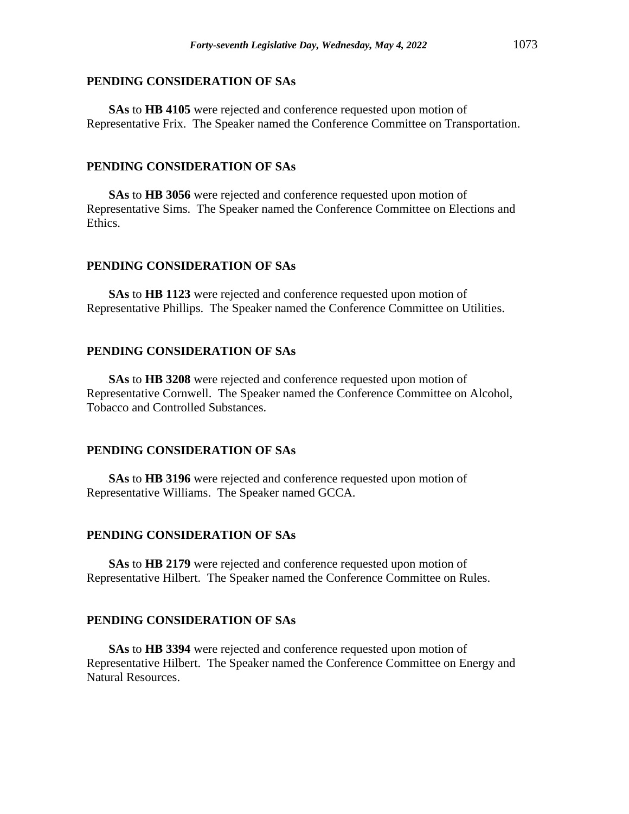**SAs** to **HB 4105** were rejected and conference requested upon motion of Representative Frix. The Speaker named the Conference Committee on Transportation.

#### **PENDING CONSIDERATION OF SAs**

**SAs** to **HB 3056** were rejected and conference requested upon motion of Representative Sims. The Speaker named the Conference Committee on Elections and Ethics.

## **PENDING CONSIDERATION OF SAs**

**SAs** to **HB 1123** were rejected and conference requested upon motion of Representative Phillips. The Speaker named the Conference Committee on Utilities.

## **PENDING CONSIDERATION OF SAs**

**SAs** to **HB 3208** were rejected and conference requested upon motion of Representative Cornwell. The Speaker named the Conference Committee on Alcohol, Tobacco and Controlled Substances.

#### **PENDING CONSIDERATION OF SAs**

**SAs** to **HB 3196** were rejected and conference requested upon motion of Representative Williams. The Speaker named GCCA.

#### **PENDING CONSIDERATION OF SAs**

**SAs** to **HB 2179** were rejected and conference requested upon motion of Representative Hilbert. The Speaker named the Conference Committee on Rules.

#### **PENDING CONSIDERATION OF SAs**

**SAs** to **HB 3394** were rejected and conference requested upon motion of Representative Hilbert. The Speaker named the Conference Committee on Energy and Natural Resources.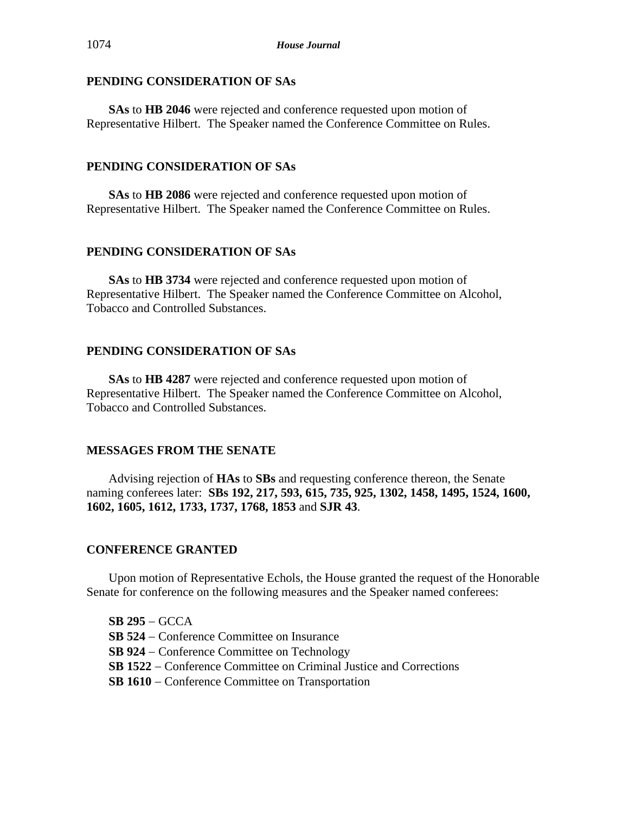**SAs** to **HB 2046** were rejected and conference requested upon motion of Representative Hilbert. The Speaker named the Conference Committee on Rules.

## **PENDING CONSIDERATION OF SAs**

**SAs** to **HB 2086** were rejected and conference requested upon motion of Representative Hilbert. The Speaker named the Conference Committee on Rules.

## **PENDING CONSIDERATION OF SAs**

**SAs** to **HB 3734** were rejected and conference requested upon motion of Representative Hilbert. The Speaker named the Conference Committee on Alcohol, Tobacco and Controlled Substances.

## **PENDING CONSIDERATION OF SAs**

**SAs** to **HB 4287** were rejected and conference requested upon motion of Representative Hilbert. The Speaker named the Conference Committee on Alcohol, Tobacco and Controlled Substances.

## **MESSAGES FROM THE SENATE**

Advising rejection of **HAs** to **SBs** and requesting conference thereon, the Senate naming conferees later: **SBs 192, 217, 593, 615, 735, 925, 1302, 1458, 1495, 1524, 1600, 1602, 1605, 1612, 1733, 1737, 1768, 1853** and **SJR 43**.

## **CONFERENCE GRANTED**

Upon motion of Representative Echols, the House granted the request of the Honorable Senate for conference on the following measures and the Speaker named conferees:

**SB 295** − GCCA **SB 524** − Conference Committee on Insurance **SB 924** − Conference Committee on Technology **SB 1522** − Conference Committee on Criminal Justice and Corrections **SB 1610** − Conference Committee on Transportation